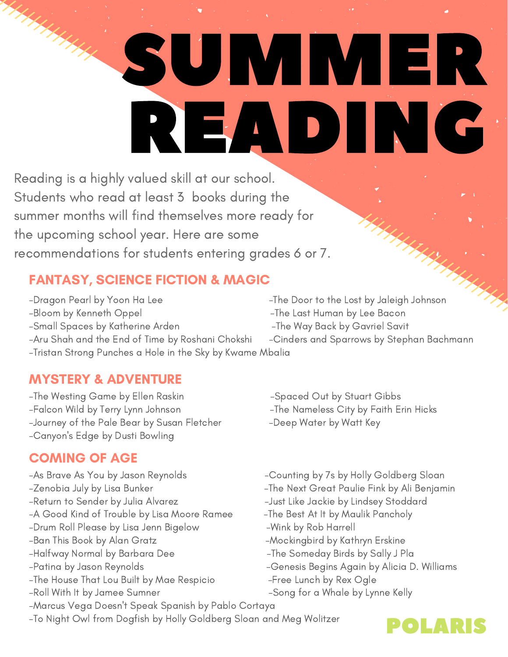# SUMMER READING

Reading is a highly valued skill at our school. Students who read at least 3 books during the summer months will find themselves more ready for the upcoming school year. Here are some recommendations for students entering grades 6 or 7.

## FANTASY, SCIENCE FICTION & MAGIC

-Dragon Pearl by Yoon Ha Lee  $\overline{I}$  -The Door to the Lost by Jaleigh Johnson -Bloom by Kenneth Oppel -The Last Human by Lee Bacon -Small Spaces by Katherine Arden -The Way Back by Gavriel Savit

- 
- 
- 
- -Aru Shah and the End of Time by Roshani Chokshi Cinders and Sparrows by Stephan Bachmann -Tristan Strong Punches a Hole in the Sky by Kwame Mbalia

## MYSTERY & ADVENTURE

-The Westing Game by Ellen Raskin - Spaced Out by Stuart Gibbs -Falcon Wild by Terry Lynn Johnson -The Nameless City by Faith Erin Hicks -Journey of the Pale Bear by Susan Fletcher -Deep Water by Watt Key -Canyon ' s Edge by Dusti Bowling

### COMING OF AGE

HHHHH

- -Return to Sender by Julia Alvarez The Senate Like Jackie by Lindsey Stoddard -A Good Kind of Trouble by Lisa Moore Ramee - The Best At It by Maulik Pancholy -Drum Roll Please by Lisa Jenn Bigelow -Wink by Rob Harrell
- 
- 
- -The House That Lou Built by Mae Respicio -Free Lunch by Rex Ogle
- 
- -Marcus Vega Doesn 't Speak Spanish by Pablo Cortaya
- -To Night Owl from Dogfish by Holly Goldberg Sloan and Meg Wolitzer
- 
- 
- 
- -As Brave As You by Jason Reynolds Counting by 7s by Holly Goldberg Sloan
- -Zenobia July by Lisa Bunker -The Next Great Paulie Fink by Ali Benjamin
	-
	-
	-
- -Ban This Book by Alan Gratz -Mockingbird by Kathryn Erskine
- -Halfway Normal by Barbara Dee -The Someday Birds by Sally J Pla
- -Patina by Jason Reynolds Genesis Begins Again by Alicia D. Williams
	-
- -Roll With It by Jamee Sumner The Song for a Whale by Lynne Kelly